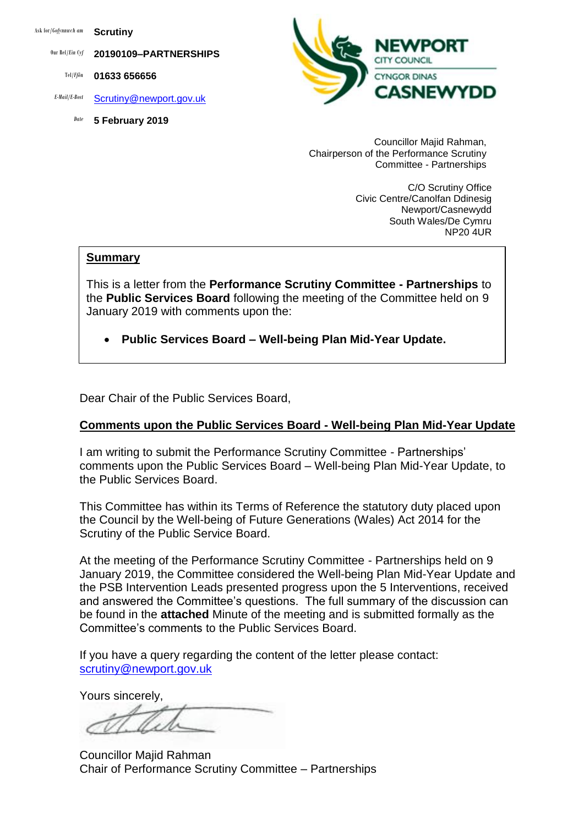Ask for/*Gofynnwch am* **Scrutiny**

Our Ref/*Ein Cyf* **20190109–PARTNERSHIPS**

Tel/*Ffôn* **01633 656656**

- *E-Mail/E-Bost* [Scrutiny@newport.gov.uk](mailto:Scrutiny@newport.gov.uk)
	- *Date* **5 February 2019**



Councillor Majid Rahman, Chairperson of the Performance Scrutiny Committee - Partnerships

> C/O Scrutiny Office Civic Centre/Canolfan Ddinesig Newport/Casnewydd South Wales/De Cymru NP20 4UR

#### **Summary**

This is a letter from the **Performance Scrutiny Committee - Partnerships** to the **Public Services Board** following the meeting of the Committee held on 9 January 2019 with comments upon the:

**Public Services Board – Well-being Plan Mid-Year Update.**

Dear Chair of the Public Services Board,

### **Comments upon the Public Services Board - Well-being Plan Mid-Year Update**

I am writing to submit the Performance Scrutiny Committee - Partnerships' comments upon the Public Services Board – Well-being Plan Mid-Year Update, to the Public Services Board.

This Committee has within its Terms of Reference the statutory duty placed upon the Council by the Well-being of Future Generations (Wales) Act 2014 for the Scrutiny of the Public Service Board.

At the meeting of the Performance Scrutiny Committee - Partnerships held on 9 January 2019, the Committee considered the Well-being Plan Mid-Year Update and the PSB Intervention Leads presented progress upon the 5 Interventions, received and answered the Committee's questions. The full summary of the discussion can be found in the **attached** Minute of the meeting and is submitted formally as the Committee's comments to the Public Services Board.

If you have a query regarding the content of the letter please contact: [scrutiny@newport.gov.uk](mailto:scrutiny@newport.gov.uk)

Yours sincerely,

Councillor Majid Rahman Chair of Performance Scrutiny Committee – Partnerships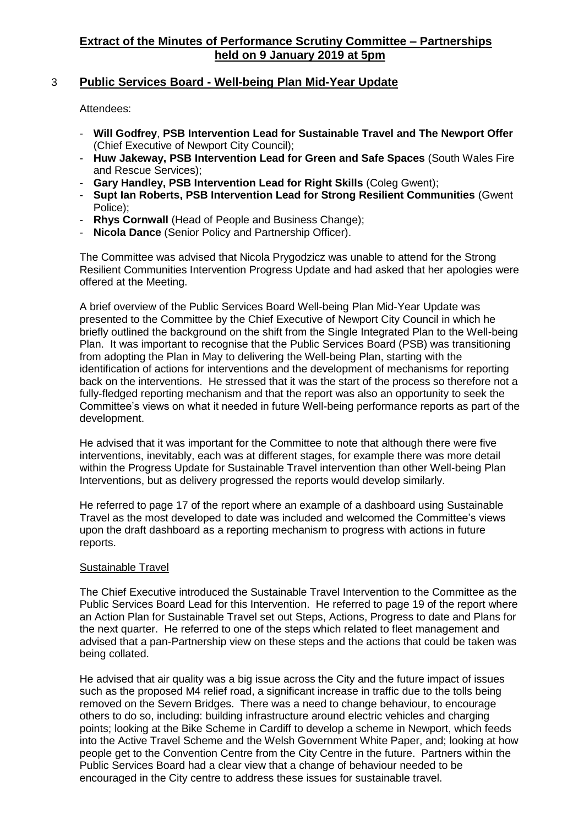### 3 **Public Services Board - Well-being Plan Mid-Year Update**

Attendees:

- **Will Godfrey**, **PSB Intervention Lead for Sustainable Travel and The Newport Offer** (Chief Executive of Newport City Council);
- **Huw Jakeway, PSB Intervention Lead for Green and Safe Spaces** (South Wales Fire and Rescue Services);
- **Gary Handley, PSB Intervention Lead for Right Skills** (Coleg Gwent);
- **Supt Ian Roberts, PSB Intervention Lead for Strong Resilient Communities** (Gwent Police);
- **Rhys Cornwall** (Head of People and Business Change);
- **Nicola Dance** (Senior Policy and Partnership Officer).

The Committee was advised that Nicola Prygodzicz was unable to attend for the Strong Resilient Communities Intervention Progress Update and had asked that her apologies were offered at the Meeting.

A brief overview of the Public Services Board Well-being Plan Mid-Year Update was presented to the Committee by the Chief Executive of Newport City Council in which he briefly outlined the background on the shift from the Single Integrated Plan to the Well-being Plan. It was important to recognise that the Public Services Board (PSB) was transitioning from adopting the Plan in May to delivering the Well-being Plan, starting with the identification of actions for interventions and the development of mechanisms for reporting back on the interventions. He stressed that it was the start of the process so therefore not a fully-fledged reporting mechanism and that the report was also an opportunity to seek the Committee's views on what it needed in future Well-being performance reports as part of the development.

He advised that it was important for the Committee to note that although there were five interventions, inevitably, each was at different stages, for example there was more detail within the Progress Update for Sustainable Travel intervention than other Well-being Plan Interventions, but as delivery progressed the reports would develop similarly.

He referred to page 17 of the report where an example of a dashboard using Sustainable Travel as the most developed to date was included and welcomed the Committee's views upon the draft dashboard as a reporting mechanism to progress with actions in future reports.

### Sustainable Travel

The Chief Executive introduced the Sustainable Travel Intervention to the Committee as the Public Services Board Lead for this Intervention. He referred to page 19 of the report where an Action Plan for Sustainable Travel set out Steps, Actions, Progress to date and Plans for the next quarter. He referred to one of the steps which related to fleet management and advised that a pan-Partnership view on these steps and the actions that could be taken was being collated.

He advised that air quality was a big issue across the City and the future impact of issues such as the proposed M4 relief road, a significant increase in traffic due to the tolls being removed on the Severn Bridges. There was a need to change behaviour, to encourage others to do so, including: building infrastructure around electric vehicles and charging points; looking at the Bike Scheme in Cardiff to develop a scheme in Newport, which feeds into the Active Travel Scheme and the Welsh Government White Paper, and; looking at how people get to the Convention Centre from the City Centre in the future. Partners within the Public Services Board had a clear view that a change of behaviour needed to be encouraged in the City centre to address these issues for sustainable travel.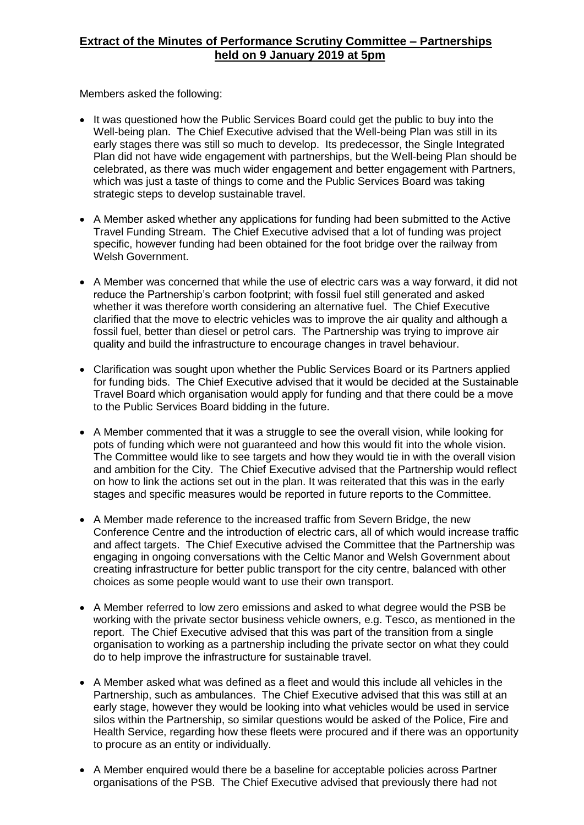Members asked the following:

- It was questioned how the Public Services Board could get the public to buy into the Well-being plan. The Chief Executive advised that the Well-being Plan was still in its early stages there was still so much to develop. Its predecessor, the Single Integrated Plan did not have wide engagement with partnerships, but the Well-being Plan should be celebrated, as there was much wider engagement and better engagement with Partners, which was just a taste of things to come and the Public Services Board was taking strategic steps to develop sustainable travel.
- A Member asked whether any applications for funding had been submitted to the Active Travel Funding Stream. The Chief Executive advised that a lot of funding was project specific, however funding had been obtained for the foot bridge over the railway from Welsh Government.
- A Member was concerned that while the use of electric cars was a way forward, it did not reduce the Partnership's carbon footprint; with fossil fuel still generated and asked whether it was therefore worth considering an alternative fuel. The Chief Executive clarified that the move to electric vehicles was to improve the air quality and although a fossil fuel, better than diesel or petrol cars. The Partnership was trying to improve air quality and build the infrastructure to encourage changes in travel behaviour.
- Clarification was sought upon whether the Public Services Board or its Partners applied for funding bids. The Chief Executive advised that it would be decided at the Sustainable Travel Board which organisation would apply for funding and that there could be a move to the Public Services Board bidding in the future.
- A Member commented that it was a struggle to see the overall vision, while looking for pots of funding which were not guaranteed and how this would fit into the whole vision. The Committee would like to see targets and how they would tie in with the overall vision and ambition for the City. The Chief Executive advised that the Partnership would reflect on how to link the actions set out in the plan. It was reiterated that this was in the early stages and specific measures would be reported in future reports to the Committee.
- A Member made reference to the increased traffic from Severn Bridge, the new Conference Centre and the introduction of electric cars, all of which would increase traffic and affect targets. The Chief Executive advised the Committee that the Partnership was engaging in ongoing conversations with the Celtic Manor and Welsh Government about creating infrastructure for better public transport for the city centre, balanced with other choices as some people would want to use their own transport.
- A Member referred to low zero emissions and asked to what degree would the PSB be working with the private sector business vehicle owners, e.g. Tesco, as mentioned in the report. The Chief Executive advised that this was part of the transition from a single organisation to working as a partnership including the private sector on what they could do to help improve the infrastructure for sustainable travel.
- A Member asked what was defined as a fleet and would this include all vehicles in the Partnership, such as ambulances. The Chief Executive advised that this was still at an early stage, however they would be looking into what vehicles would be used in service silos within the Partnership, so similar questions would be asked of the Police, Fire and Health Service, regarding how these fleets were procured and if there was an opportunity to procure as an entity or individually.
- A Member enquired would there be a baseline for acceptable policies across Partner organisations of the PSB. The Chief Executive advised that previously there had not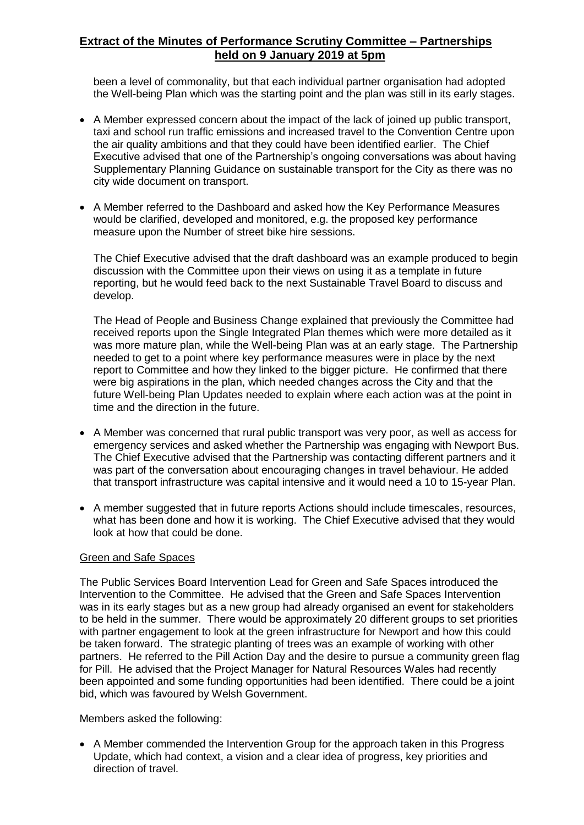been a level of commonality, but that each individual partner organisation had adopted the Well-being Plan which was the starting point and the plan was still in its early stages.

- A Member expressed concern about the impact of the lack of joined up public transport, taxi and school run traffic emissions and increased travel to the Convention Centre upon the air quality ambitions and that they could have been identified earlier. The Chief Executive advised that one of the Partnership's ongoing conversations was about having Supplementary Planning Guidance on sustainable transport for the City as there was no city wide document on transport.
- A Member referred to the Dashboard and asked how the Key Performance Measures would be clarified, developed and monitored, e.g. the proposed key performance measure upon the Number of street bike hire sessions.

The Chief Executive advised that the draft dashboard was an example produced to begin discussion with the Committee upon their views on using it as a template in future reporting, but he would feed back to the next Sustainable Travel Board to discuss and develop.

The Head of People and Business Change explained that previously the Committee had received reports upon the Single Integrated Plan themes which were more detailed as it was more mature plan, while the Well-being Plan was at an early stage. The Partnership needed to get to a point where key performance measures were in place by the next report to Committee and how they linked to the bigger picture. He confirmed that there were big aspirations in the plan, which needed changes across the City and that the future Well-being Plan Updates needed to explain where each action was at the point in time and the direction in the future.

- A Member was concerned that rural public transport was very poor, as well as access for emergency services and asked whether the Partnership was engaging with Newport Bus. The Chief Executive advised that the Partnership was contacting different partners and it was part of the conversation about encouraging changes in travel behaviour. He added that transport infrastructure was capital intensive and it would need a 10 to 15-year Plan.
- A member suggested that in future reports Actions should include timescales, resources, what has been done and how it is working. The Chief Executive advised that they would look at how that could be done.

### Green and Safe Spaces

The Public Services Board Intervention Lead for Green and Safe Spaces introduced the Intervention to the Committee. He advised that the Green and Safe Spaces Intervention was in its early stages but as a new group had already organised an event for stakeholders to be held in the summer. There would be approximately 20 different groups to set priorities with partner engagement to look at the green infrastructure for Newport and how this could be taken forward. The strategic planting of trees was an example of working with other partners. He referred to the Pill Action Day and the desire to pursue a community green flag for Pill. He advised that the Project Manager for Natural Resources Wales had recently been appointed and some funding opportunities had been identified. There could be a joint bid, which was favoured by Welsh Government.

### Members asked the following:

 A Member commended the Intervention Group for the approach taken in this Progress Update, which had context, a vision and a clear idea of progress, key priorities and direction of travel.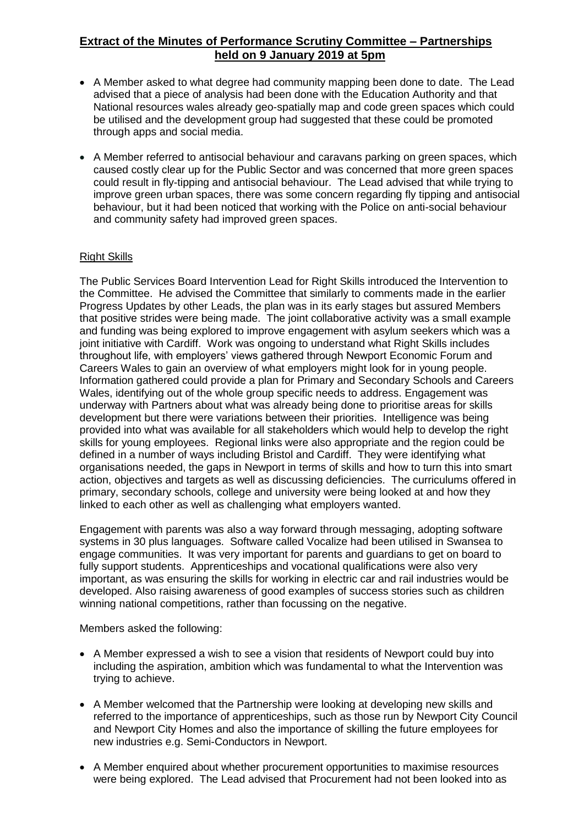- A Member asked to what degree had community mapping been done to date. The Lead advised that a piece of analysis had been done with the Education Authority and that National resources wales already geo-spatially map and code green spaces which could be utilised and the development group had suggested that these could be promoted through apps and social media.
- A Member referred to antisocial behaviour and caravans parking on green spaces, which caused costly clear up for the Public Sector and was concerned that more green spaces could result in fly-tipping and antisocial behaviour. The Lead advised that while trying to improve green urban spaces, there was some concern regarding fly tipping and antisocial behaviour, but it had been noticed that working with the Police on anti-social behaviour and community safety had improved green spaces.

### Right Skills

The Public Services Board Intervention Lead for Right Skills introduced the Intervention to the Committee. He advised the Committee that similarly to comments made in the earlier Progress Updates by other Leads, the plan was in its early stages but assured Members that positive strides were being made. The joint collaborative activity was a small example and funding was being explored to improve engagement with asylum seekers which was a joint initiative with Cardiff. Work was ongoing to understand what Right Skills includes throughout life, with employers' views gathered through Newport Economic Forum and Careers Wales to gain an overview of what employers might look for in young people. Information gathered could provide a plan for Primary and Secondary Schools and Careers Wales, identifying out of the whole group specific needs to address. Engagement was underway with Partners about what was already being done to prioritise areas for skills development but there were variations between their priorities. Intelligence was being provided into what was available for all stakeholders which would help to develop the right skills for young employees. Regional links were also appropriate and the region could be defined in a number of ways including Bristol and Cardiff. They were identifying what organisations needed, the gaps in Newport in terms of skills and how to turn this into smart action, objectives and targets as well as discussing deficiencies. The curriculums offered in primary, secondary schools, college and university were being looked at and how they linked to each other as well as challenging what employers wanted.

Engagement with parents was also a way forward through messaging, adopting software systems in 30 plus languages. Software called Vocalize had been utilised in Swansea to engage communities. It was very important for parents and guardians to get on board to fully support students. Apprenticeships and vocational qualifications were also very important, as was ensuring the skills for working in electric car and rail industries would be developed. Also raising awareness of good examples of success stories such as children winning national competitions, rather than focussing on the negative.

Members asked the following:

- A Member expressed a wish to see a vision that residents of Newport could buy into including the aspiration, ambition which was fundamental to what the Intervention was trying to achieve.
- A Member welcomed that the Partnership were looking at developing new skills and referred to the importance of apprenticeships, such as those run by Newport City Council and Newport City Homes and also the importance of skilling the future employees for new industries e.g. Semi-Conductors in Newport.
- A Member enquired about whether procurement opportunities to maximise resources were being explored. The Lead advised that Procurement had not been looked into as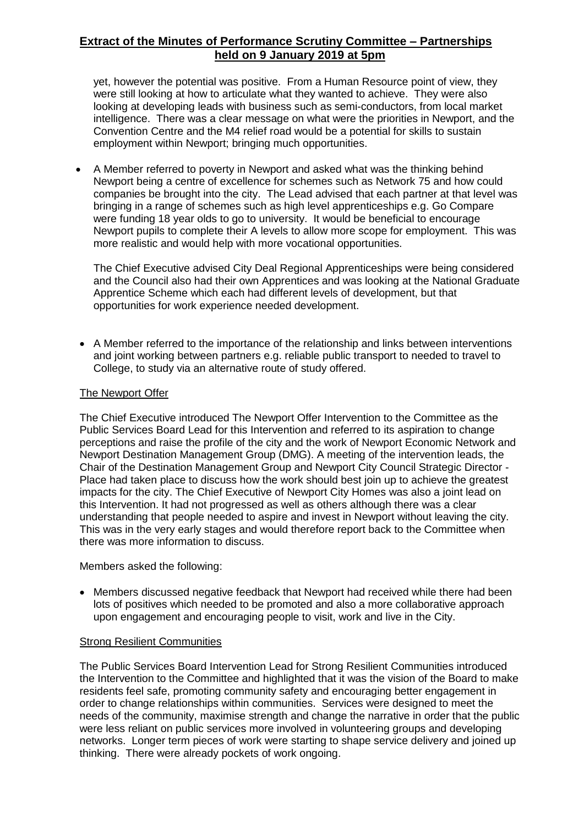yet, however the potential was positive. From a Human Resource point of view, they were still looking at how to articulate what they wanted to achieve. They were also looking at developing leads with business such as semi-conductors, from local market intelligence. There was a clear message on what were the priorities in Newport, and the Convention Centre and the M4 relief road would be a potential for skills to sustain employment within Newport; bringing much opportunities.

 A Member referred to poverty in Newport and asked what was the thinking behind Newport being a centre of excellence for schemes such as Network 75 and how could companies be brought into the city. The Lead advised that each partner at that level was bringing in a range of schemes such as high level apprenticeships e.g. Go Compare were funding 18 year olds to go to university. It would be beneficial to encourage Newport pupils to complete their A levels to allow more scope for employment. This was more realistic and would help with more vocational opportunities.

The Chief Executive advised City Deal Regional Apprenticeships were being considered and the Council also had their own Apprentices and was looking at the National Graduate Apprentice Scheme which each had different levels of development, but that opportunities for work experience needed development.

 A Member referred to the importance of the relationship and links between interventions and joint working between partners e.g. reliable public transport to needed to travel to College, to study via an alternative route of study offered.

### The Newport Offer

The Chief Executive introduced The Newport Offer Intervention to the Committee as the Public Services Board Lead for this Intervention and referred to its aspiration to change perceptions and raise the profile of the city and the work of Newport Economic Network and Newport Destination Management Group (DMG). A meeting of the intervention leads, the Chair of the Destination Management Group and Newport City Council Strategic Director - Place had taken place to discuss how the work should best join up to achieve the greatest impacts for the city. The Chief Executive of Newport City Homes was also a joint lead on this Intervention. It had not progressed as well as others although there was a clear understanding that people needed to aspire and invest in Newport without leaving the city. This was in the very early stages and would therefore report back to the Committee when there was more information to discuss.

### Members asked the following:

 Members discussed negative feedback that Newport had received while there had been lots of positives which needed to be promoted and also a more collaborative approach upon engagement and encouraging people to visit, work and live in the City.

### Strong Resilient Communities

The Public Services Board Intervention Lead for Strong Resilient Communities introduced the Intervention to the Committee and highlighted that it was the vision of the Board to make residents feel safe, promoting community safety and encouraging better engagement in order to change relationships within communities. Services were designed to meet the needs of the community, maximise strength and change the narrative in order that the public were less reliant on public services more involved in volunteering groups and developing networks. Longer term pieces of work were starting to shape service delivery and joined up thinking. There were already pockets of work ongoing.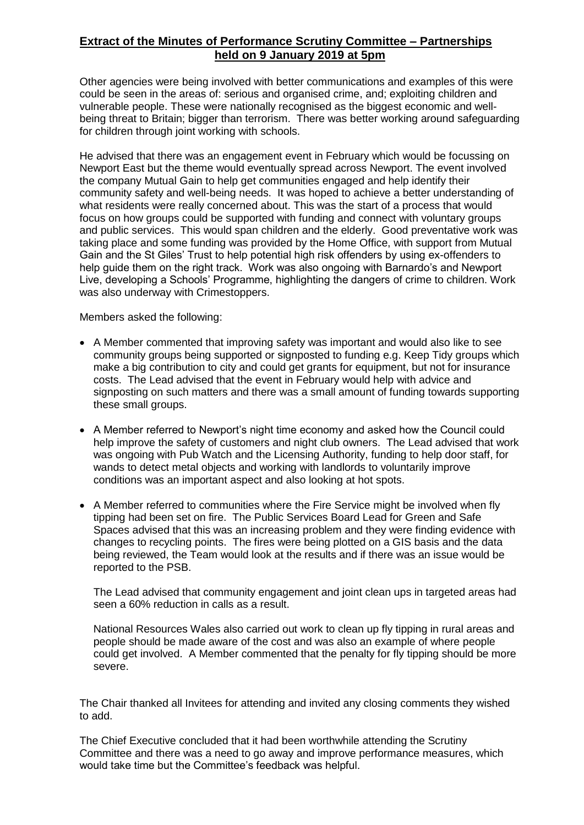Other agencies were being involved with better communications and examples of this were could be seen in the areas of: serious and organised crime, and; exploiting children and vulnerable people. These were nationally recognised as the biggest economic and wellbeing threat to Britain; bigger than terrorism. There was better working around safeguarding for children through joint working with schools.

He advised that there was an engagement event in February which would be focussing on Newport East but the theme would eventually spread across Newport. The event involved the company Mutual Gain to help get communities engaged and help identify their community safety and well-being needs. It was hoped to achieve a better understanding of what residents were really concerned about. This was the start of a process that would focus on how groups could be supported with funding and connect with voluntary groups and public services. This would span children and the elderly. Good preventative work was taking place and some funding was provided by the Home Office, with support from Mutual Gain and the St Giles' Trust to help potential high risk offenders by using ex-offenders to help guide them on the right track. Work was also ongoing with Barnardo's and Newport Live, developing a Schools' Programme, highlighting the dangers of crime to children. Work was also underway with Crimestoppers.

Members asked the following:

- A Member commented that improving safety was important and would also like to see community groups being supported or signposted to funding e.g. Keep Tidy groups which make a big contribution to city and could get grants for equipment, but not for insurance costs. The Lead advised that the event in February would help with advice and signposting on such matters and there was a small amount of funding towards supporting these small groups.
- A Member referred to Newport's night time economy and asked how the Council could help improve the safety of customers and night club owners. The Lead advised that work was ongoing with Pub Watch and the Licensing Authority, funding to help door staff, for wands to detect metal objects and working with landlords to voluntarily improve conditions was an important aspect and also looking at hot spots.
- A Member referred to communities where the Fire Service might be involved when fly tipping had been set on fire. The Public Services Board Lead for Green and Safe Spaces advised that this was an increasing problem and they were finding evidence with changes to recycling points. The fires were being plotted on a GIS basis and the data being reviewed, the Team would look at the results and if there was an issue would be reported to the PSB.

The Lead advised that community engagement and joint clean ups in targeted areas had seen a 60% reduction in calls as a result.

National Resources Wales also carried out work to clean up fly tipping in rural areas and people should be made aware of the cost and was also an example of where people could get involved. A Member commented that the penalty for fly tipping should be more severe.

The Chair thanked all Invitees for attending and invited any closing comments they wished to add.

The Chief Executive concluded that it had been worthwhile attending the Scrutiny Committee and there was a need to go away and improve performance measures, which would take time but the Committee's feedback was helpful.